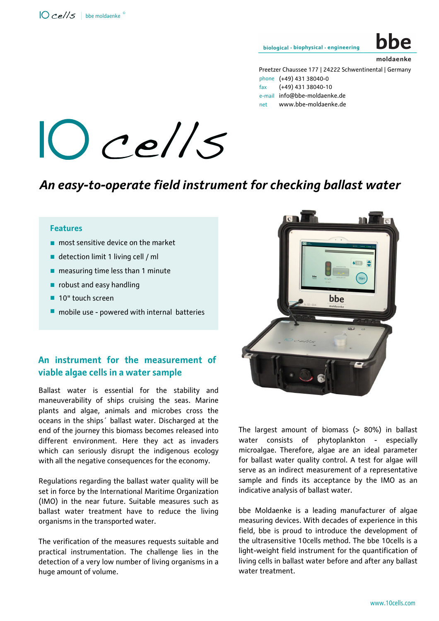biological · biophysical · engineering

# moldaenke

Preetzer Chaussee 177 | 24222 Schwentinental | Germany phone (+49) 431 38040-0 fax (+49) 431 38040-10 e-mail info@bbe-moldaenke.de net www.bbe-moldaenke.de



### *An easy-to-operate field instrument for checking ballast water*

## **Features** Fe<br>...

- most sensitive device on the market<br>■ detection limit 1 living cell / ml
- detection limit 1 living cell / ml
- detection limit 1 living cell / ml<br>■ measuring time less than 1 minute .
- robust and easy handling<br>■ 10" touch screen
- 10" touch screen
- $\blacksquare$  mobile use powered with internal batteries

#### **An instrument for the measurement of viable algae cells in a water sample**

Ballast water is essential for the stability and maneuverability of ships cruising the seas. Marine plants and algae, animals and microbes cross the oceans in the ships´ ballast water. Discharged at the end of the journey this biomass becomes released into different environment. Here they act as invaders which can seriously disrupt the indigenous ecology with all the negative consequences for the economy.

Regulations regarding the ballast water quality will be set in force by the International Maritime Organization (IMO) in the near future. Suitable measures such as ballast water treatment have to reduce the living organisms in the transported water.

The verification of the measures requests suitable and practical instrumentation. The challenge lies in the detection of a very low number of living organisms in a huge amount of volume.



The largest amount of biomass (> 80%) in ballast water consists of phytoplankton - especially microalgae. Therefore, algae are an ideal parameter for ballast water quality control. A test for algae will serve as an indirect measurement of a representative sample and finds its acceptance by the IMO as an indicative analysis of ballast water.

bbe Moldaenke is a leading manufacturer of algae measuring devices. With decades of experience in this field, bbe is proud to introduce the development of the ultrasensitive 10cells method. The bbe 10cells is a light-weight field instrument for the quantification of living cells in ballast water before and after any ballast water treatment.